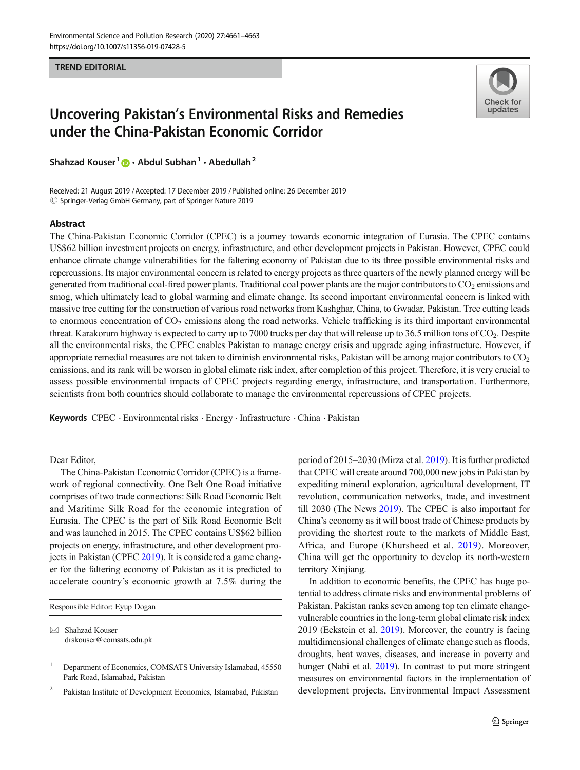TREND EDITORIAL



## Uncovering Pakistan's Environmental Risks and Remedies under the China-Pakistan Economic Corridor

Shahzad Kouser<sup>1</sup>  $\bullet$  · Abdul Subhan<sup>1</sup> · Abedullah<sup>2</sup>

Received: 21 August 2019 /Accepted: 17 December 2019 /Published online: 26 December 2019  $\oslash$  Springer-Verlag GmbH Germany, part of Springer Nature 2019

## Abstract

The China-Pakistan Economic Corridor (CPEC) is a journey towards economic integration of Eurasia. The CPEC contains US\$62 billion investment projects on energy, infrastructure, and other development projects in Pakistan. However, CPEC could enhance climate change vulnerabilities for the faltering economy of Pakistan due to its three possible environmental risks and repercussions. Its major environmental concern is related to energy projects as three quarters of the newly planned energy will be generated from traditional coal-fired power plants. Traditional coal power plants are the major contributors to  $CO<sub>2</sub>$  emissions and smog, which ultimately lead to global warming and climate change. Its second important environmental concern is linked with massive tree cutting for the construction of various road networks from Kashghar, China, to Gwadar, Pakistan. Tree cutting leads to enormous concentration of  $CO<sub>2</sub>$  emissions along the road networks. Vehicle trafficking is its third important environmental threat. Karakorum highway is expected to carry up to 7000 trucks per day that will release up to 36.5 million tons of  $CO<sub>2</sub>$ . Despite all the environmental risks, the CPEC enables Pakistan to manage energy crisis and upgrade aging infrastructure. However, if appropriate remedial measures are not taken to diminish environmental risks, Pakistan will be among major contributors to  $CO<sub>2</sub>$ emissions, and its rank will be worsen in global climate risk index, after completion of this project. Therefore, it is very crucial to assess possible environmental impacts of CPEC projects regarding energy, infrastructure, and transportation. Furthermore, scientists from both countries should collaborate to manage the environmental repercussions of CPEC projects.

Keywords CPEC . Environmental risks . Energy . Infrastructure . China . Pakistan

Dear Editor,

The China-Pakistan Economic Corridor (CPEC) is a framework of regional connectivity. One Belt One Road initiative comprises of two trade connections: Silk Road Economic Belt and Maritime Silk Road for the economic integration of Eurasia. The CPEC is the part of Silk Road Economic Belt and was launched in 2015. The CPEC contains US\$62 billion projects on energy, infrastructure, and other development pro-jects in Pakistan (CPEC [2019\)](#page-2-0). It is considered a game changer for the faltering economy of Pakistan as it is predicted to accelerate country's economic growth at 7.5% during the

Responsible Editor: Eyup Dogan

 $\boxtimes$  Shahzad Kouser [drskouser@comsats.edu.pk](mailto:drskouser@comsats.edu.pk)

<sup>2</sup> Pakistan Institute of Development Economics, Islamabad, Pakistan

period of 2015–2030 (Mirza et al. [2019\)](#page-2-0). It is further predicted that CPEC will create around 700,000 new jobs in Pakistan by expediting mineral exploration, agricultural development, IT revolution, communication networks, trade, and investment till 2030 (The News [2019](#page-2-0)). The CPEC is also important for China's economy as it will boost trade of Chinese products by providing the shortest route to the markets of Middle East, Africa, and Europe (Khursheed et al. [2019](#page-2-0)). Moreover, China will get the opportunity to develop its north-western territory Xinjiang.

In addition to economic benefits, the CPEC has huge potential to address climate risks and environmental problems of Pakistan. Pakistan ranks seven among top ten climate changevulnerable countries in the long-term global climate risk index 2019 (Eckstein et al. [2019\)](#page-2-0). Moreover, the country is facing multidimensional challenges of climate change such as floods, droughts, heat waves, diseases, and increase in poverty and hunger (Nabi et al. [2019](#page-2-0)). In contrast to put more stringent measures on environmental factors in the implementation of development projects, Environmental Impact Assessment

<sup>&</sup>lt;sup>1</sup> Department of Economics, COMSATS University Islamabad, 45550 Park Road, Islamabad, Pakistan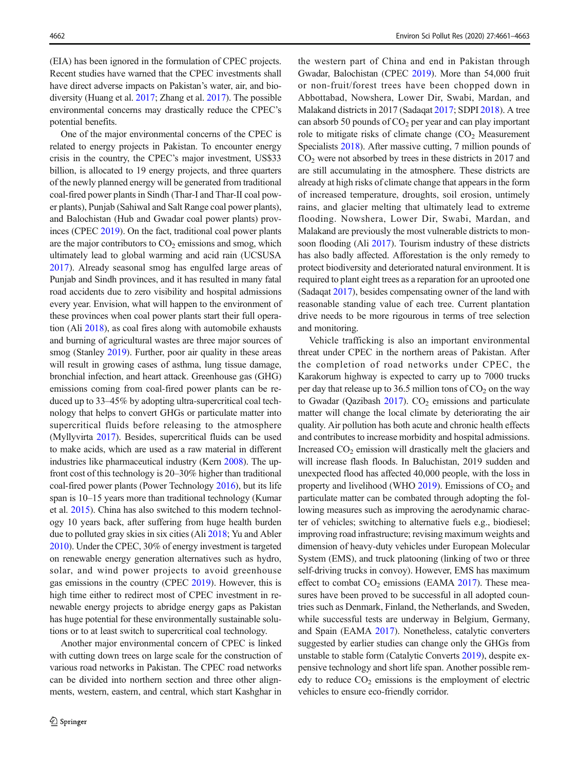(EIA) has been ignored in the formulation of CPEC projects. Recent studies have warned that the CPEC investments shall have direct adverse impacts on Pakistan's water, air, and biodiversity (Huang et al. [2017](#page-2-0); Zhang et al. [2017\)](#page-2-0). The possible environmental concerns may drastically reduce the CPEC's potential benefits.

One of the major environmental concerns of the CPEC is related to energy projects in Pakistan. To encounter energy crisis in the country, the CPEC's major investment, US\$33 billion, is allocated to 19 energy projects, and three quarters of the newly planned energy will be generated from traditional coal-fired power plants in Sindh (Thar-I and Thar-II coal power plants), Punjab (Sahiwal and Salt Range coal power plants), and Balochistan (Hub and Gwadar coal power plants) provinces (CPEC [2019\)](#page-2-0). On the fact, traditional coal power plants are the major contributors to  $CO<sub>2</sub>$  emissions and smog, which ultimately lead to global warming and acid rain (UCSUSA [2017\)](#page-2-0). Already seasonal smog has engulfed large areas of Punjab and Sindh provinces, and it has resulted in many fatal road accidents due to zero visibility and hospital admissions every year. Envision, what will happen to the environment of these provinces when coal power plants start their full operation (Ali [2018\)](#page-2-0), as coal fires along with automobile exhausts and burning of agricultural wastes are three major sources of smog (Stanley [2019\)](#page-2-0). Further, poor air quality in these areas will result in growing cases of asthma, lung tissue damage, bronchial infection, and heart attack. Greenhouse gas (GHG) emissions coming from coal-fired power plants can be reduced up to 33–45% by adopting ultra-supercritical coal technology that helps to convert GHGs or particulate matter into supercritical fluids before releasing to the atmosphere (Myllyvirta [2017\)](#page-2-0). Besides, supercritical fluids can be used to make acids, which are used as a raw material in different industries like pharmaceutical industry (Kern [2008\)](#page-2-0). The upfront cost of this technology is 20–30% higher than traditional coal-fired power plants (Power Technology [2016\)](#page-2-0), but its life span is 10–15 years more than traditional technology (Kumar et al. [2015](#page-2-0)). China has also switched to this modern technology 10 years back, after suffering from huge health burden due to polluted gray skies in six cities (Ali [2018](#page-2-0); Yu and Abler [2010\)](#page-2-0). Under the CPEC, 30% of energy investment is targeted on renewable energy generation alternatives such as hydro, solar, and wind power projects to avoid greenhouse gas emissions in the country (CPEC [2019](#page-2-0)). However, this is high time either to redirect most of CPEC investment in renewable energy projects to abridge energy gaps as Pakistan has huge potential for these environmentally sustainable solutions or to at least switch to supercritical coal technology.

Another major environmental concern of CPEC is linked with cutting down trees on large scale for the construction of various road networks in Pakistan. The CPEC road networks can be divided into northern section and three other alignments, western, eastern, and central, which start Kashghar in

the western part of China and end in Pakistan through Gwadar, Balochistan (CPEC [2019\)](#page-2-0). More than 54,000 fruit or non-fruit/forest trees have been chopped down in Abbottabad, Nowshera, Lower Dir, Swabi, Mardan, and Malakand districts in 2017 (Sadaqat [2017;](#page-2-0) SDPI [2018](#page-2-0)). A tree can absorb 50 pounds of  $CO<sub>2</sub>$  per year and can play important role to mitigate risks of climate change  $(CO<sub>2</sub>)$  Measurement Specialists [2018\)](#page-2-0). After massive cutting, 7 million pounds of CO<sub>2</sub> were not absorbed by trees in these districts in 2017 and are still accumulating in the atmosphere. These districts are already at high risks of climate change that appears in the form of increased temperature, droughts, soil erosion, untimely rains, and glacier melting that ultimately lead to extreme flooding. Nowshera, Lower Dir, Swabi, Mardan, and Malakand are previously the most vulnerable districts to monsoon flooding (Ali [2017](#page-2-0)). Tourism industry of these districts has also badly affected. Afforestation is the only remedy to protect biodiversity and deteriorated natural environment. It is required to plant eight trees as a reparation for an uprooted one (Sadaqat [2017\)](#page-2-0), besides compensating owner of the land with reasonable standing value of each tree. Current plantation drive needs to be more rigourous in terms of tree selection and monitoring.

Vehicle trafficking is also an important environmental threat under CPEC in the northern areas of Pakistan. After the completion of road networks under CPEC, the Karakorum highway is expected to carry up to 7000 trucks per day that release up to 36.5 million tons of  $CO<sub>2</sub>$  on the way to Gwadar (Qazibash  $2017$ ).  $CO<sub>2</sub>$  emissions and particulate matter will change the local climate by deteriorating the air quality. Air pollution has both acute and chronic health effects and contributes to increase morbidity and hospital admissions. Increased  $CO<sub>2</sub>$  emission will drastically melt the glaciers and will increase flash floods. In Baluchistan, 2019 sudden and unexpected flood has affected 40,000 people, with the loss in property and livelihood (WHO  $2019$ ). Emissions of  $CO<sub>2</sub>$  and particulate matter can be combated through adopting the following measures such as improving the aerodynamic character of vehicles; switching to alternative fuels e.g., biodiesel; improving road infrastructure; revising maximum weights and dimension of heavy-duty vehicles under European Molecular System (EMS), and truck platooning (linking of two or three self-driving trucks in convoy). However, EMS has maximum effect to combat  $CO<sub>2</sub>$  emissions (EAMA [2017\)](#page-2-0). These measures have been proved to be successful in all adopted countries such as Denmark, Finland, the Netherlands, and Sweden, while successful tests are underway in Belgium, Germany, and Spain (EAMA [2017](#page-2-0)). Nonetheless, catalytic converters suggested by earlier studies can change only the GHGs from unstable to stable form (Catalytic Converts [2019](#page-2-0)), despite expensive technology and short life span. Another possible remedy to reduce  $CO<sub>2</sub>$  emissions is the employment of electric vehicles to ensure eco-friendly corridor.